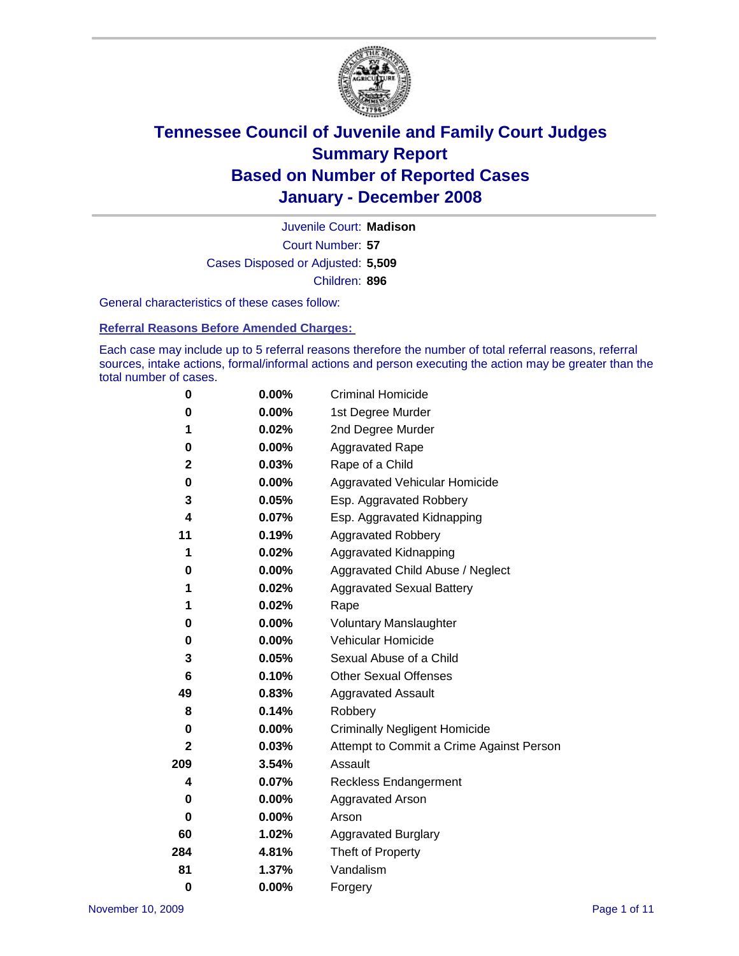

Court Number: **57** Juvenile Court: **Madison** Cases Disposed or Adjusted: **5,509** Children: **896**

General characteristics of these cases follow:

**Referral Reasons Before Amended Charges:** 

Each case may include up to 5 referral reasons therefore the number of total referral reasons, referral sources, intake actions, formal/informal actions and person executing the action may be greater than the total number of cases.

| 0            | $0.00\%$ | <b>Criminal Homicide</b>                 |  |  |  |  |
|--------------|----------|------------------------------------------|--|--|--|--|
| 0            | 0.00%    | 1st Degree Murder                        |  |  |  |  |
| 1            | 0.02%    | 2nd Degree Murder                        |  |  |  |  |
| 0            | 0.00%    | <b>Aggravated Rape</b>                   |  |  |  |  |
| $\mathbf 2$  | 0.03%    | Rape of a Child                          |  |  |  |  |
| 0            | $0.00\%$ | Aggravated Vehicular Homicide            |  |  |  |  |
| 3            | 0.05%    | Esp. Aggravated Robbery                  |  |  |  |  |
| 4            | 0.07%    | Esp. Aggravated Kidnapping               |  |  |  |  |
| 11           | 0.19%    | <b>Aggravated Robbery</b>                |  |  |  |  |
| 1            | 0.02%    | Aggravated Kidnapping                    |  |  |  |  |
| 0            | $0.00\%$ | Aggravated Child Abuse / Neglect         |  |  |  |  |
| 1            | 0.02%    | <b>Aggravated Sexual Battery</b>         |  |  |  |  |
| 1            | 0.02%    | Rape                                     |  |  |  |  |
| 0            | 0.00%    | <b>Voluntary Manslaughter</b>            |  |  |  |  |
| 0            | 0.00%    | Vehicular Homicide                       |  |  |  |  |
| 3            | 0.05%    | Sexual Abuse of a Child                  |  |  |  |  |
| 6            | 0.10%    | <b>Other Sexual Offenses</b>             |  |  |  |  |
| 49           | 0.83%    | <b>Aggravated Assault</b>                |  |  |  |  |
| 8            | 0.14%    | Robbery                                  |  |  |  |  |
| 0            | $0.00\%$ | <b>Criminally Negligent Homicide</b>     |  |  |  |  |
| $\mathbf{2}$ | 0.03%    | Attempt to Commit a Crime Against Person |  |  |  |  |
| 209          | 3.54%    | Assault                                  |  |  |  |  |
| 4            | 0.07%    | <b>Reckless Endangerment</b>             |  |  |  |  |
| 0            | 0.00%    | <b>Aggravated Arson</b>                  |  |  |  |  |
| 0            | $0.00\%$ | Arson                                    |  |  |  |  |
| 60           | 1.02%    | <b>Aggravated Burglary</b>               |  |  |  |  |
| 284          | 4.81%    | Theft of Property                        |  |  |  |  |
| 81           | 1.37%    | Vandalism                                |  |  |  |  |
| $\bf{0}$     | 0.00%    | Forgery                                  |  |  |  |  |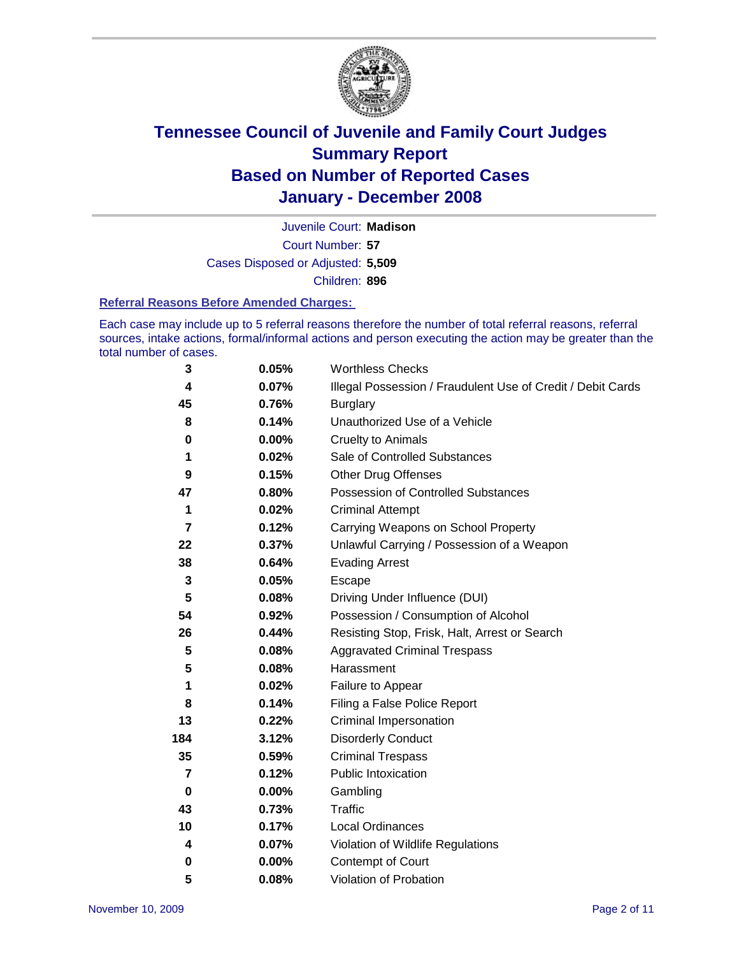

Court Number: **57** Juvenile Court: **Madison** Cases Disposed or Adjusted: **5,509** Children: **896**

#### **Referral Reasons Before Amended Charges:**

Each case may include up to 5 referral reasons therefore the number of total referral reasons, referral sources, intake actions, formal/informal actions and person executing the action may be greater than the total number of cases.

| 3                       | 0.05%    | <b>Worthless Checks</b>                                     |
|-------------------------|----------|-------------------------------------------------------------|
| 4                       | 0.07%    | Illegal Possession / Fraudulent Use of Credit / Debit Cards |
| 45                      | 0.76%    | <b>Burglary</b>                                             |
| 8                       | 0.14%    | Unauthorized Use of a Vehicle                               |
| 0                       | 0.00%    | <b>Cruelty to Animals</b>                                   |
| 1                       | 0.02%    | Sale of Controlled Substances                               |
| 9                       | 0.15%    | <b>Other Drug Offenses</b>                                  |
| 47                      | 0.80%    | Possession of Controlled Substances                         |
| 1                       | 0.02%    | <b>Criminal Attempt</b>                                     |
| $\overline{\mathbf{z}}$ | 0.12%    | Carrying Weapons on School Property                         |
| 22                      | 0.37%    | Unlawful Carrying / Possession of a Weapon                  |
| 38                      | 0.64%    | <b>Evading Arrest</b>                                       |
| 3                       | 0.05%    | Escape                                                      |
| 5                       | 0.08%    | Driving Under Influence (DUI)                               |
| 54                      | 0.92%    | Possession / Consumption of Alcohol                         |
| 26                      | 0.44%    | Resisting Stop, Frisk, Halt, Arrest or Search               |
| 5                       | 0.08%    | <b>Aggravated Criminal Trespass</b>                         |
| 5                       | 0.08%    | Harassment                                                  |
| 1                       | 0.02%    | Failure to Appear                                           |
| 8                       | 0.14%    | Filing a False Police Report                                |
| 13                      | 0.22%    | Criminal Impersonation                                      |
| 184                     | 3.12%    | <b>Disorderly Conduct</b>                                   |
| 35                      | 0.59%    | <b>Criminal Trespass</b>                                    |
| 7                       | 0.12%    | <b>Public Intoxication</b>                                  |
| $\bf{0}$                | 0.00%    | Gambling                                                    |
| 43                      | 0.73%    | Traffic                                                     |
| 10                      | 0.17%    | <b>Local Ordinances</b>                                     |
| 4                       | 0.07%    | Violation of Wildlife Regulations                           |
| 0                       | $0.00\%$ | Contempt of Court                                           |
| 5                       | 0.08%    | Violation of Probation                                      |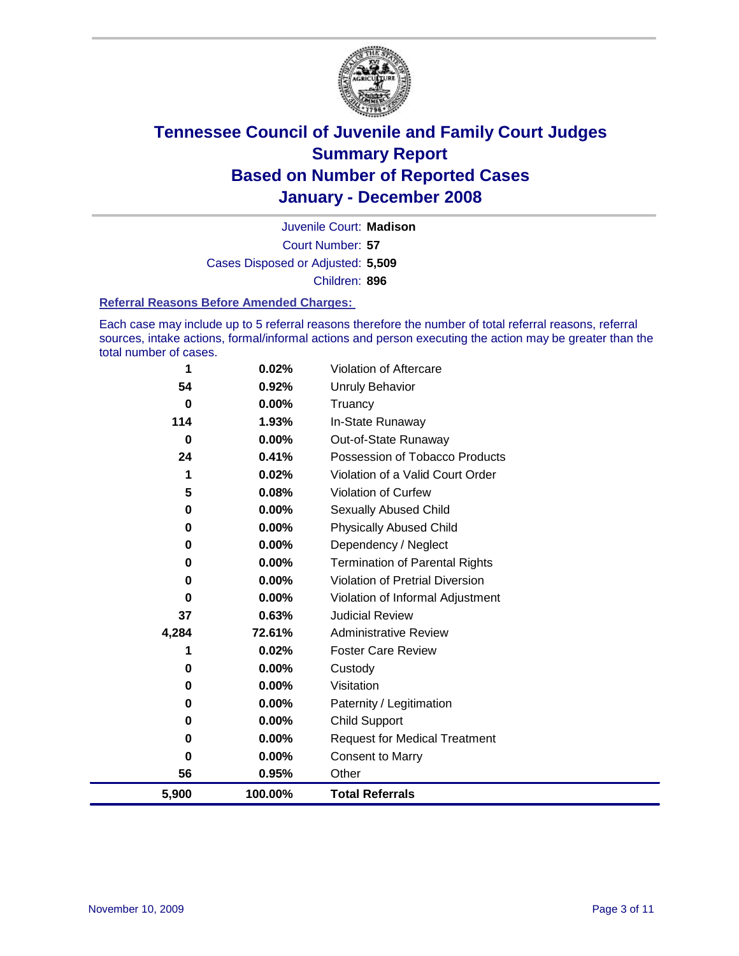

Court Number: **57** Juvenile Court: **Madison** Cases Disposed or Adjusted: **5,509** Children: **896**

#### **Referral Reasons Before Amended Charges:**

Each case may include up to 5 referral reasons therefore the number of total referral reasons, referral sources, intake actions, formal/informal actions and person executing the action may be greater than the total number of cases.

| 56<br>5,900 | 0.95%<br>100.00% | Other<br><b>Total Referrals</b>        |
|-------------|------------------|----------------------------------------|
| 0           | 0.00%            | <b>Consent to Marry</b>                |
| 0           | 0.00%            | <b>Request for Medical Treatment</b>   |
| 0           | $0.00\%$         | Child Support                          |
| 0           | $0.00\%$         | Paternity / Legitimation               |
| 0           | 0.00%            | Visitation                             |
| 0           | 0.00%            | Custody                                |
| 1           | 0.02%            | <b>Foster Care Review</b>              |
| 4,284       | 72.61%           | <b>Administrative Review</b>           |
| 37          | 0.63%            | <b>Judicial Review</b>                 |
| 0           | 0.00%            | Violation of Informal Adjustment       |
| 0           | 0.00%            | <b>Violation of Pretrial Diversion</b> |
| 0           | 0.00%            | <b>Termination of Parental Rights</b>  |
| 0           | $0.00\%$         | Dependency / Neglect                   |
| 0           | 0.00%            | <b>Physically Abused Child</b>         |
| 0           | 0.00%            | <b>Sexually Abused Child</b>           |
| 5           | 0.08%            | Violation of Curfew                    |
| 1           | 0.02%            | Violation of a Valid Court Order       |
| 24          | 0.41%            | Possession of Tobacco Products         |
| 0           | 0.00%            | Out-of-State Runaway                   |
| 114         | 1.93%            | In-State Runaway                       |
| 0           | 0.00%            | Truancy                                |
| 54          | 0.92%            | <b>Unruly Behavior</b>                 |
| 1           | 0.02%            | <b>Violation of Aftercare</b>          |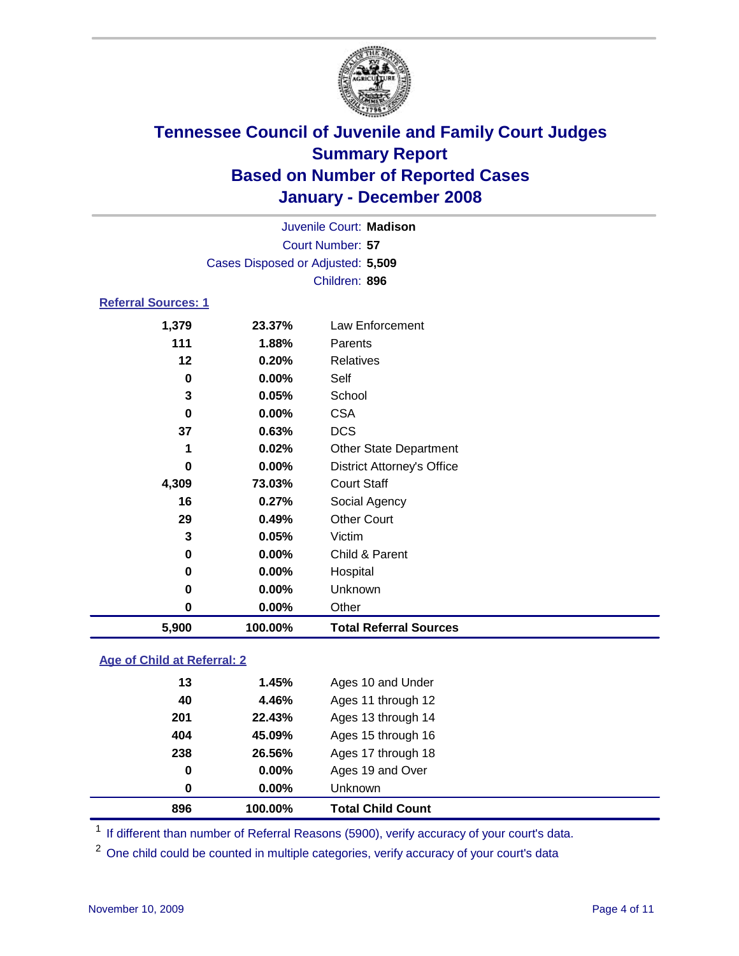

|                            |                                   | Juvenile Court: Madison |  |  |  |  |  |  |
|----------------------------|-----------------------------------|-------------------------|--|--|--|--|--|--|
|                            | Court Number: 57                  |                         |  |  |  |  |  |  |
|                            | Cases Disposed or Adjusted: 5,509 |                         |  |  |  |  |  |  |
|                            |                                   | Children: 896           |  |  |  |  |  |  |
| <b>Referral Sources: 1</b> |                                   |                         |  |  |  |  |  |  |
| 1,379                      | 23.37%                            | Law Enforcement         |  |  |  |  |  |  |
| 111                        | 1.88%                             | Parents                 |  |  |  |  |  |  |
| 12                         | 0.20%                             | Relatives               |  |  |  |  |  |  |
| 0                          | $0.00\%$                          | Self                    |  |  |  |  |  |  |
| 3                          | 0.05%                             | School                  |  |  |  |  |  |  |
| 0                          | $0.00\%$                          | CSA                     |  |  |  |  |  |  |
|                            |                                   |                         |  |  |  |  |  |  |

| 1,379 | 23.37%  | Law Enforcement                   |
|-------|---------|-----------------------------------|
| 111   | 1.88%   | Parents                           |
| 12    | 0.20%   | Relatives                         |
| 0     | 0.00%   | Self                              |
| 3     | 0.05%   | School                            |
| 0     | 0.00%   | <b>CSA</b>                        |
| 37    | 0.63%   | <b>DCS</b>                        |
| 1     | 0.02%   | <b>Other State Department</b>     |
| 0     | 0.00%   | <b>District Attorney's Office</b> |
| 4,309 | 73.03%  | <b>Court Staff</b>                |
| 16    | 0.27%   | Social Agency                     |
| 29    | 0.49%   | <b>Other Court</b>                |
| 3     | 0.05%   | Victim                            |
| 0     | 0.00%   | Child & Parent                    |
| 0     | 0.00%   | Hospital                          |
| 0     | 0.00%   | Unknown                           |
| 0     | 0.00%   | Other                             |
| 5,900 | 100.00% | <b>Total Referral Sources</b>     |

#### **Age of Child at Referral: 2**

|             |          | <b>Total Child Count</b> |
|-------------|----------|--------------------------|
| $\mathbf 0$ | $0.00\%$ | Unknown                  |
| 0           | $0.00\%$ | Ages 19 and Over         |
| 238         | 26.56%   | Ages 17 through 18       |
| 404         | 45.09%   | Ages 15 through 16       |
| 201         | 22.43%   | Ages 13 through 14       |
| 40          | 4.46%    | Ages 11 through 12       |
| 13          | 1.45%    | Ages 10 and Under        |
|             |          | 896<br>100.00%           |

<sup>1</sup> If different than number of Referral Reasons (5900), verify accuracy of your court's data.

<sup>2</sup> One child could be counted in multiple categories, verify accuracy of your court's data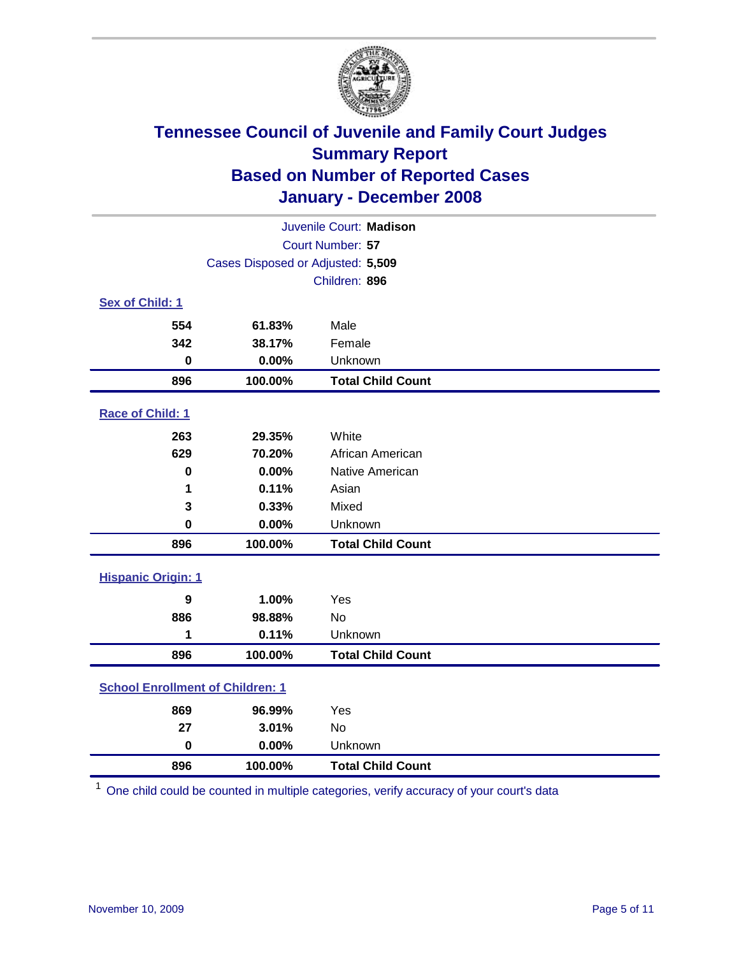

| Juvenile Court: Madison                 |                                   |                          |  |  |  |  |
|-----------------------------------------|-----------------------------------|--------------------------|--|--|--|--|
| Court Number: 57                        |                                   |                          |  |  |  |  |
|                                         | Cases Disposed or Adjusted: 5,509 |                          |  |  |  |  |
|                                         |                                   | Children: 896            |  |  |  |  |
| Sex of Child: 1                         |                                   |                          |  |  |  |  |
| 554                                     | 61.83%                            | Male                     |  |  |  |  |
| 342                                     | 38.17%                            | Female                   |  |  |  |  |
| $\bf{0}$                                | 0.00%                             | Unknown                  |  |  |  |  |
| 896                                     | 100.00%                           | <b>Total Child Count</b> |  |  |  |  |
| Race of Child: 1                        |                                   |                          |  |  |  |  |
| 263                                     | 29.35%                            | White                    |  |  |  |  |
| 629                                     | 70.20%                            | African American         |  |  |  |  |
| 0                                       | 0.00%                             | Native American          |  |  |  |  |
| 1                                       | 0.11%                             | Asian                    |  |  |  |  |
| 3                                       | 0.33%                             | Mixed                    |  |  |  |  |
| $\mathbf 0$                             | 0.00%                             | Unknown                  |  |  |  |  |
| 896                                     | 100.00%                           | <b>Total Child Count</b> |  |  |  |  |
| <b>Hispanic Origin: 1</b>               |                                   |                          |  |  |  |  |
| 9                                       | 1.00%                             | Yes                      |  |  |  |  |
| 886                                     | 98.88%                            | No                       |  |  |  |  |
| 1                                       | 0.11%                             | Unknown                  |  |  |  |  |
| 896                                     | 100.00%                           | <b>Total Child Count</b> |  |  |  |  |
| <b>School Enrollment of Children: 1</b> |                                   |                          |  |  |  |  |
| 869                                     | 96.99%                            | Yes                      |  |  |  |  |
| 27                                      | 3.01%                             | <b>No</b>                |  |  |  |  |
| $\mathbf 0$                             | 0.00%                             | Unknown                  |  |  |  |  |
| 896                                     | 100.00%                           | <b>Total Child Count</b> |  |  |  |  |

One child could be counted in multiple categories, verify accuracy of your court's data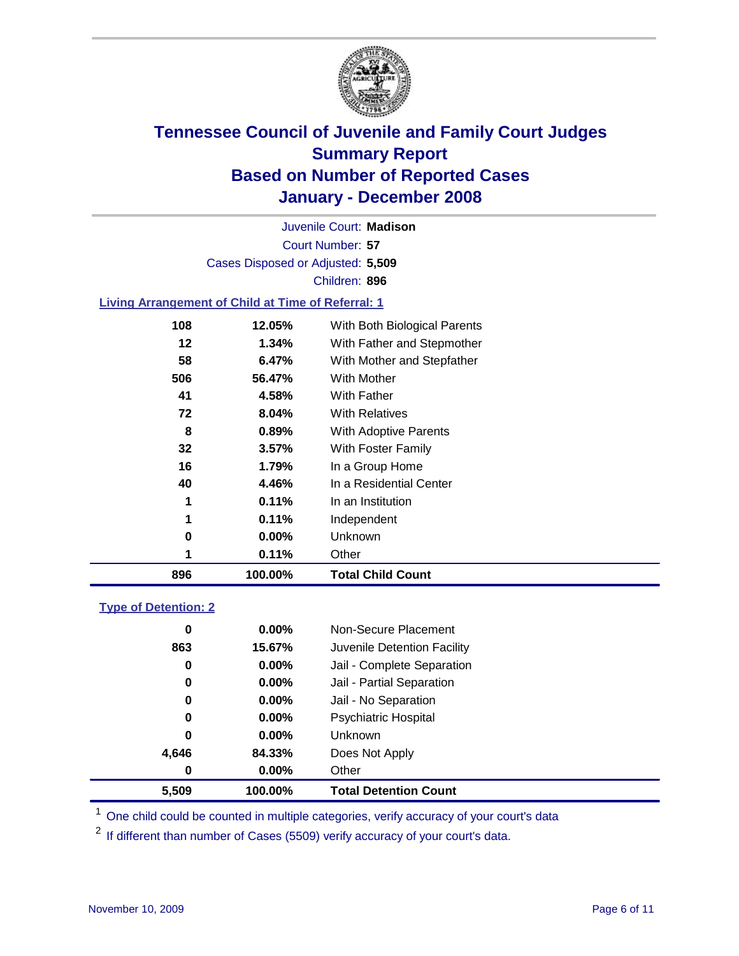

Court Number: **57** Juvenile Court: **Madison** Cases Disposed or Adjusted: **5,509** Children: **896**

#### **Living Arrangement of Child at Time of Referral: 1**

| 896 | 100.00% | <b>Total Child Count</b>     |
|-----|---------|------------------------------|
| 1   | 0.11%   | Other                        |
| 0   | 0.00%   | Unknown                      |
| 1   | 0.11%   | Independent                  |
| 1   | 0.11%   | In an Institution            |
| 40  | 4.46%   | In a Residential Center      |
| 16  | 1.79%   | In a Group Home              |
| 32  | 3.57%   | With Foster Family           |
| 8   | 0.89%   | With Adoptive Parents        |
| 72  | 8.04%   | <b>With Relatives</b>        |
| 41  | 4.58%   | With Father                  |
| 506 | 56.47%  | With Mother                  |
| 58  | 6.47%   | With Mother and Stepfather   |
| 12  | 1.34%   | With Father and Stepmother   |
| 108 | 12.05%  | With Both Biological Parents |

#### **Type of Detention: 2**

| 5,509 | 100.00%  | <b>Total Detention Count</b> |  |
|-------|----------|------------------------------|--|
| 0     | $0.00\%$ | Other                        |  |
| 4,646 | 84.33%   | Does Not Apply               |  |
| 0     | $0.00\%$ | <b>Unknown</b>               |  |
| 0     | 0.00%    | <b>Psychiatric Hospital</b>  |  |
| 0     | 0.00%    | Jail - No Separation         |  |
| 0     | $0.00\%$ | Jail - Partial Separation    |  |
| 0     | $0.00\%$ | Jail - Complete Separation   |  |
| 863   | 15.67%   | Juvenile Detention Facility  |  |
| 0     | $0.00\%$ | Non-Secure Placement         |  |
|       |          |                              |  |

<sup>1</sup> One child could be counted in multiple categories, verify accuracy of your court's data

<sup>2</sup> If different than number of Cases (5509) verify accuracy of your court's data.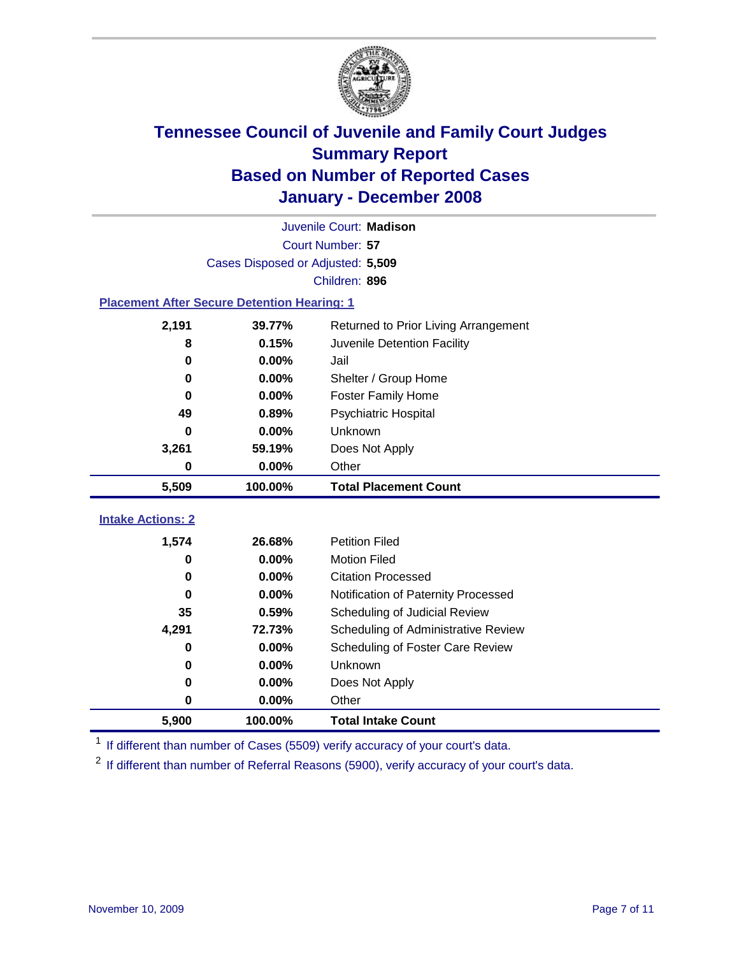

|                                                    |                                   | Juvenile Court: Madison              |
|----------------------------------------------------|-----------------------------------|--------------------------------------|
|                                                    |                                   | Court Number: 57                     |
|                                                    | Cases Disposed or Adjusted: 5,509 |                                      |
|                                                    |                                   | Children: 896                        |
| <b>Placement After Secure Detention Hearing: 1</b> |                                   |                                      |
| 2,191                                              | 39.77%                            | Returned to Prior Living Arrangement |
| 8                                                  | 0.15%                             | Juvenile Detention Facility          |
| $\bf{0}$                                           | 0.00%                             | Jail                                 |
| 0                                                  | 0.00%                             | Shelter / Group Home                 |
| $\bf{0}$                                           | 0.00%                             | Foster Family Home                   |
| 49                                                 | 0.89%                             | Psychiatric Hospital                 |
| 0                                                  | 0.00%                             | Unknown                              |
| 3,261                                              | 59.19%                            | Does Not Apply                       |
| $\bf{0}$                                           | $0.00\%$                          | Other                                |
| 5,509                                              | 100.00%                           | <b>Total Placement Count</b>         |
|                                                    |                                   |                                      |
| <b>Intake Actions: 2</b>                           |                                   |                                      |
| 1,574                                              | 26.68%                            | <b>Petition Filed</b>                |
| 0                                                  | 0.00%                             | <b>Motion Filed</b>                  |
| $\bf{0}$                                           | 0.00%                             | <b>Citation Processed</b>            |
| 0                                                  | 0.00%                             | Notification of Paternity Processed  |
| 35                                                 | 0.59%                             | Scheduling of Judicial Review        |
| 4,291                                              | 72.73%                            | Scheduling of Administrative Review  |
| 0                                                  | 0.00%                             | Scheduling of Foster Care Review     |
| $\bf{0}$                                           | 0.00%                             | Unknown                              |
| $\bf{0}$                                           | 0.00%                             | Does Not Apply                       |
| 0                                                  | 0.00%                             | Other                                |
| 5,900                                              | 100.00%                           | <b>Total Intake Count</b>            |

<sup>1</sup> If different than number of Cases (5509) verify accuracy of your court's data.

<sup>2</sup> If different than number of Referral Reasons (5900), verify accuracy of your court's data.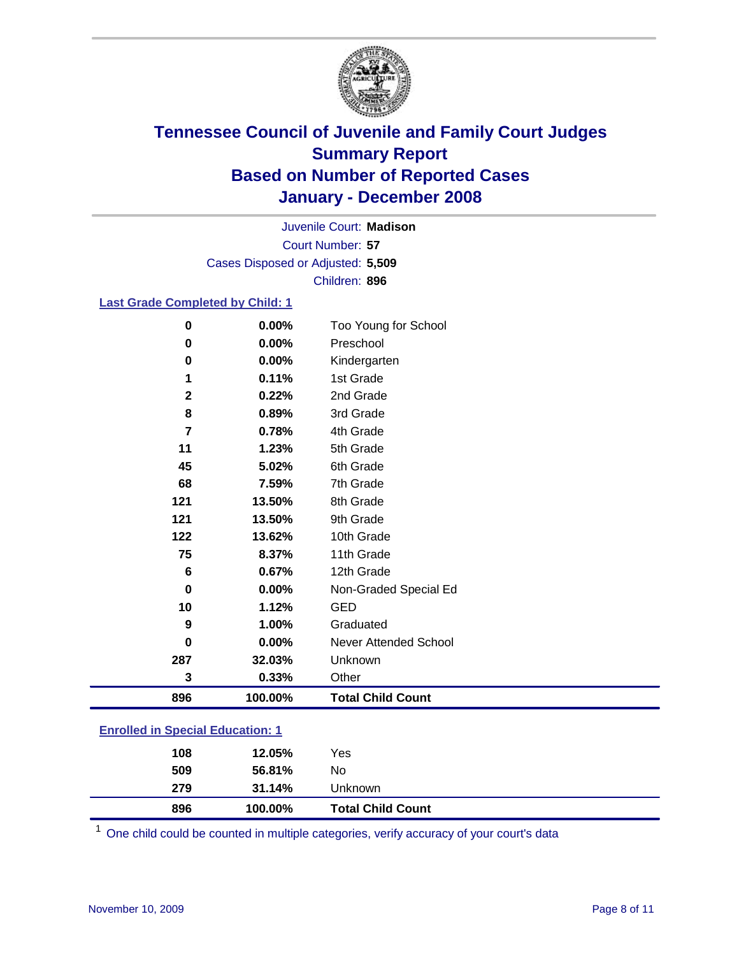

Court Number: **57** Juvenile Court: **Madison** Cases Disposed or Adjusted: **5,509** Children: **896**

#### **Last Grade Completed by Child: 1**

| 896          | 100.00% | <b>Total Child Count</b> |
|--------------|---------|--------------------------|
| 3            | 0.33%   | Other                    |
| 287          | 32.03%  | Unknown                  |
| 0            | 0.00%   | Never Attended School    |
| 9            | 1.00%   | Graduated                |
| 10           | 1.12%   | <b>GED</b>               |
| $\bf{0}$     | 0.00%   | Non-Graded Special Ed    |
| 6            | 0.67%   | 12th Grade               |
| 75           | 8.37%   | 11th Grade               |
| 122          | 13.62%  | 10th Grade               |
| 121          | 13.50%  | 9th Grade                |
| 121          | 13.50%  | 8th Grade                |
| 68           | 7.59%   | 7th Grade                |
| 45           | 5.02%   | 6th Grade                |
| 11           | 1.23%   | 5th Grade                |
| 7            | 0.78%   | 4th Grade                |
| 8            | 0.89%   | 3rd Grade                |
| $\mathbf{2}$ | 0.22%   | 2nd Grade                |
| 1            | 0.11%   | 1st Grade                |
| 0            | 0.00%   | Kindergarten             |
| 0            | 0.00%   | Preschool                |
| 0            | 0.00%   | Too Young for School     |

### **Enrolled in Special Education: 1**

| 896        | 100.00%          | <b>Total Child Count</b> |  |
|------------|------------------|--------------------------|--|
| 509<br>279 | 56.81%<br>31.14% | No<br>Unknown            |  |
| 108        | 12.05%           | Yes                      |  |

One child could be counted in multiple categories, verify accuracy of your court's data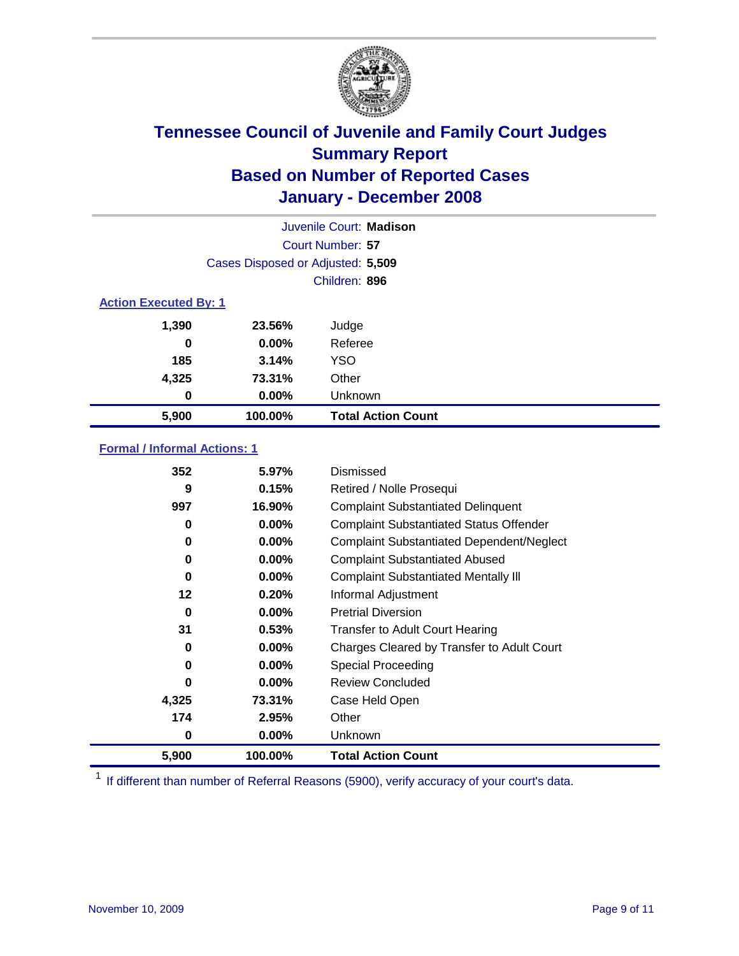

|                              |                                   | Juvenile Court: Madison   |
|------------------------------|-----------------------------------|---------------------------|
|                              |                                   | Court Number: 57          |
|                              | Cases Disposed or Adjusted: 5,509 |                           |
|                              |                                   | Children: 896             |
| <b>Action Executed By: 1</b> |                                   |                           |
| 1,390                        | 23.56%                            | Judge                     |
| 0                            | $0.00\%$                          | Referee                   |
| 185                          | 3.14%                             | <b>YSO</b>                |
| 4,325                        | 73.31%                            | Other                     |
| 0                            | $0.00\%$                          | Unknown                   |
| 5,900                        | 100.00%                           | <b>Total Action Count</b> |

### **Formal / Informal Actions: 1**

| 5,900 | 100.00%  | <b>Total Action Count</b>                        |
|-------|----------|--------------------------------------------------|
| 0     | $0.00\%$ | <b>Unknown</b>                                   |
| 174   | 2.95%    | Other                                            |
| 4,325 | 73.31%   | Case Held Open                                   |
| O     | $0.00\%$ | <b>Review Concluded</b>                          |
| 0     | $0.00\%$ | Special Proceeding                               |
| 0     | $0.00\%$ | Charges Cleared by Transfer to Adult Court       |
| 31    | 0.53%    | <b>Transfer to Adult Court Hearing</b>           |
| 0     | $0.00\%$ | <b>Pretrial Diversion</b>                        |
| 12    | 0.20%    | Informal Adjustment                              |
| 0     | $0.00\%$ | <b>Complaint Substantiated Mentally III</b>      |
| 0     | 0.00%    | <b>Complaint Substantiated Abused</b>            |
| 0     | 0.00%    | <b>Complaint Substantiated Dependent/Neglect</b> |
| 0     | $0.00\%$ | <b>Complaint Substantiated Status Offender</b>   |
| 997   | 16.90%   | <b>Complaint Substantiated Delinquent</b>        |
| 9     | 0.15%    | Retired / Nolle Prosequi                         |
| 352   | 5.97%    | Dismissed                                        |

<sup>1</sup> If different than number of Referral Reasons (5900), verify accuracy of your court's data.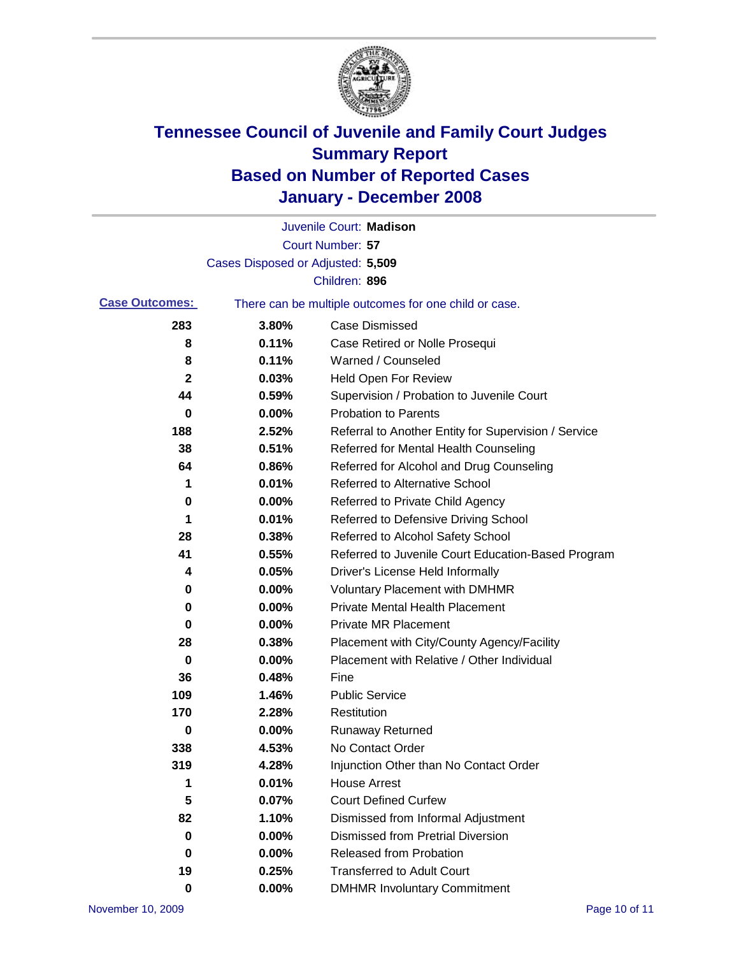

|          | Juvenile Court: Madison                               |
|----------|-------------------------------------------------------|
|          | Court Number: 57                                      |
|          |                                                       |
|          | Children: 896                                         |
|          | There can be multiple outcomes for one child or case. |
| 3.80%    | Case Dismissed                                        |
| 0.11%    | Case Retired or Nolle Prosequi                        |
| 0.11%    | Warned / Counseled                                    |
| 0.03%    | <b>Held Open For Review</b>                           |
| 0.59%    | Supervision / Probation to Juvenile Court             |
| 0.00%    | <b>Probation to Parents</b>                           |
| 2.52%    | Referral to Another Entity for Supervision / Service  |
| 0.51%    | Referred for Mental Health Counseling                 |
| 0.86%    | Referred for Alcohol and Drug Counseling              |
| 0.01%    | <b>Referred to Alternative School</b>                 |
| 0.00%    | Referred to Private Child Agency                      |
| 0.01%    | Referred to Defensive Driving School                  |
| 0.38%    | Referred to Alcohol Safety School                     |
| 0.55%    | Referred to Juvenile Court Education-Based Program    |
| 0.05%    | Driver's License Held Informally                      |
| 0.00%    | <b>Voluntary Placement with DMHMR</b>                 |
| 0.00%    | <b>Private Mental Health Placement</b>                |
| 0.00%    | <b>Private MR Placement</b>                           |
| 0.38%    | Placement with City/County Agency/Facility            |
| 0.00%    | Placement with Relative / Other Individual            |
| 0.48%    | Fine                                                  |
| 1.46%    | <b>Public Service</b>                                 |
| 2.28%    | Restitution                                           |
| 0.00%    | <b>Runaway Returned</b>                               |
| 4.53%    | No Contact Order                                      |
| 4.28%    | Injunction Other than No Contact Order                |
| 0.01%    | <b>House Arrest</b>                                   |
| 0.07%    | <b>Court Defined Curfew</b>                           |
| 1.10%    | Dismissed from Informal Adjustment                    |
| 0.00%    | <b>Dismissed from Pretrial Diversion</b>              |
| 0.00%    | Released from Probation                               |
| 0.25%    | <b>Transferred to Adult Court</b>                     |
| $0.00\%$ | <b>DMHMR Involuntary Commitment</b>                   |
|          | Cases Disposed or Adjusted: 5,509                     |